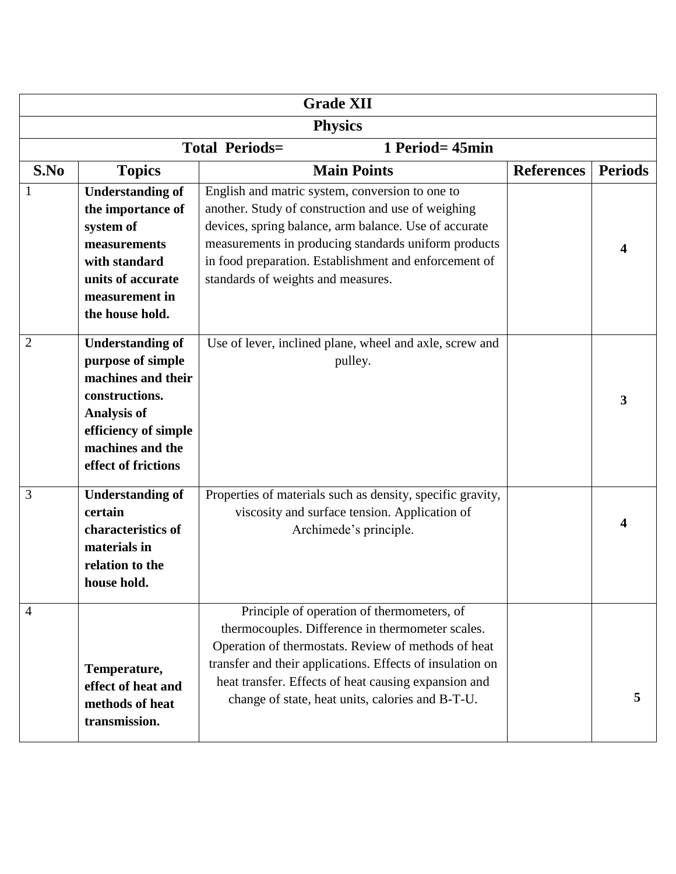| <b>Grade XII</b>                         |                                                                                                                                                                               |                                                                                                                                                                                                                                                                                                                                |                   |                |  |  |  |  |
|------------------------------------------|-------------------------------------------------------------------------------------------------------------------------------------------------------------------------------|--------------------------------------------------------------------------------------------------------------------------------------------------------------------------------------------------------------------------------------------------------------------------------------------------------------------------------|-------------------|----------------|--|--|--|--|
| <b>Physics</b>                           |                                                                                                                                                                               |                                                                                                                                                                                                                                                                                                                                |                   |                |  |  |  |  |
| <b>Total Periods=</b><br>1 Period= 45min |                                                                                                                                                                               |                                                                                                                                                                                                                                                                                                                                |                   |                |  |  |  |  |
| S.No                                     | <b>Topics</b>                                                                                                                                                                 | <b>Main Points</b>                                                                                                                                                                                                                                                                                                             | <b>References</b> | <b>Periods</b> |  |  |  |  |
|                                          | <b>Understanding of</b><br>the importance of<br>system of<br>measurements<br>with standard<br>units of accurate<br>measurement in<br>the house hold.                          | English and matric system, conversion to one to<br>another. Study of construction and use of weighing<br>devices, spring balance, arm balance. Use of accurate<br>measurements in producing standards uniform products<br>in food preparation. Establishment and enforcement of<br>standards of weights and measures.          |                   |                |  |  |  |  |
| $\overline{2}$                           | <b>Understanding of</b><br>purpose of simple<br>machines and their<br>constructions.<br><b>Analysis of</b><br>efficiency of simple<br>machines and the<br>effect of frictions | Use of lever, inclined plane, wheel and axle, screw and<br>pulley.                                                                                                                                                                                                                                                             |                   | 3              |  |  |  |  |
| 3                                        | <b>Understanding of</b><br>certain<br>characteristics of<br>materials in<br>relation to the<br>house hold.                                                                    | Properties of materials such as density, specific gravity,<br>viscosity and surface tension. Application of<br>Archimede's principle.                                                                                                                                                                                          |                   |                |  |  |  |  |
| 4                                        | Temperature,<br>effect of heat and<br>methods of heat<br>transmission.                                                                                                        | Principle of operation of thermometers, of<br>thermocouples. Difference in thermometer scales.<br>Operation of thermostats. Review of methods of heat<br>transfer and their applications. Effects of insulation on<br>heat transfer. Effects of heat causing expansion and<br>change of state, heat units, calories and B-T-U. |                   | 5              |  |  |  |  |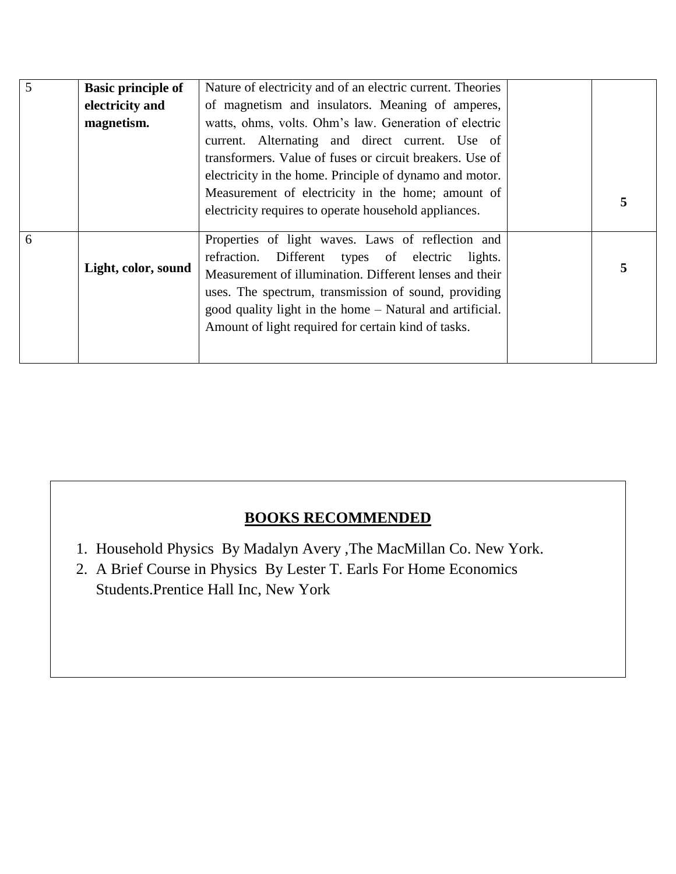| 5 | <b>Basic principle of</b> | Nature of electricity and of an electric current. Theories |   |
|---|---------------------------|------------------------------------------------------------|---|
|   | electricity and           | of magnetism and insulators. Meaning of amperes,           |   |
|   | magnetism.                | watts, ohms, volts. Ohm's law. Generation of electric      |   |
|   |                           | current. Alternating and direct current. Use of            |   |
|   |                           | transformers. Value of fuses or circuit breakers. Use of   |   |
|   |                           | electricity in the home. Principle of dynamo and motor.    |   |
|   |                           | Measurement of electricity in the home; amount of          |   |
|   |                           | electricity requires to operate household appliances.      | 5 |
|   |                           |                                                            |   |
| 6 |                           | Properties of light waves. Laws of reflection and          |   |
|   | Light, color, sound       | refraction. Different types of electric<br>lights.         |   |
|   |                           | Measurement of illumination. Different lenses and their    | 5 |
|   |                           | uses. The spectrum, transmission of sound, providing       |   |
|   |                           | good quality light in the home – Natural and artificial.   |   |
|   |                           | Amount of light required for certain kind of tasks.        |   |
|   |                           |                                                            |   |
|   |                           |                                                            |   |

## **BOOKS RECOMMENDED**

- 1. Household Physics By Madalyn Avery ,The MacMillan Co. New York.
- 2. A Brief Course in Physics By Lester T. Earls For Home Economics Students.Prentice Hall Inc, New York